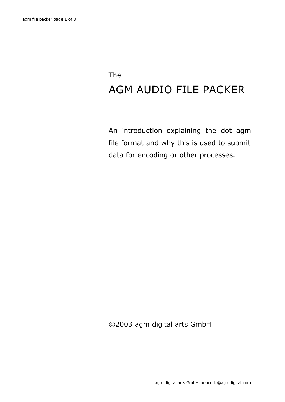## The AGM AUDIO FILE PACKER

An introduction explaining the dot agm file format and why this is used to submit data for encoding or other processes.

©2003 agm digital arts GmbH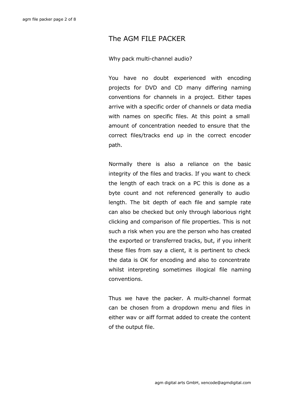## The AGM FILE PACKER

## Why pack multi-channel audio?

You have no doubt experienced with encoding projects for DVD and CD many differing naming conventions for channels in a project. Either tapes arrive with a specific order of channels or data media with names on specific files. At this point a small amount of concentration needed to ensure that the correct files/tracks end up in the correct encoder path.

Normally there is also a reliance on the basic integrity of the files and tracks. If you want to check the length of each track on a PC this is done as a byte count and not referenced generally to audio length. The bit depth of each file and sample rate can also be checked but only through laborious right clicking and comparison of file properties. This is not such a risk when you are the person who has created the exported or transferred tracks, but, if you inherit these files from say a client, it is pertinent to check the data is OK for encoding and also to concentrate whilst interpreting sometimes illogical file naming conventions.

Thus we have the packer. A multi-channel format can be chosen from a dropdown menu and files in either wav or aiff format added to create the content of the output file.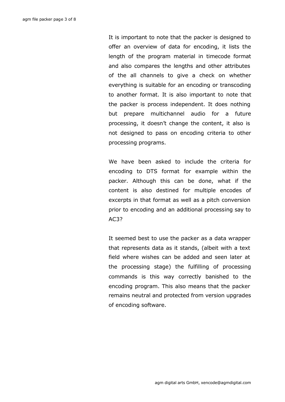It is important to note that the packer is designed to offer an overview of data for encoding, it lists the length of the program material in timecode format and also compares the lengths and other attributes of the all channels to give a check on whether everything is suitable for an encoding or transcoding to another format. It is also important to note that the packer is process independent. It does nothing but prepare multichannel audio for a future processing, it doesn't change the content, it also is not designed to pass on encoding criteria to other processing programs.

We have been asked to include the criteria for encoding to DTS format for example within the packer. Although this can be done, what if the content is also destined for multiple encodes of excerpts in that format as well as a pitch conversion prior to encoding and an additional processing say to AC3?

It seemed best to use the packer as a data wrapper that represents data as it stands, (albeit with a text field where wishes can be added and seen later at the processing stage) the fulfilling of processing commands is this way correctly banished to the encoding program. This also means that the packer remains neutral and protected from version upgrades of encoding software.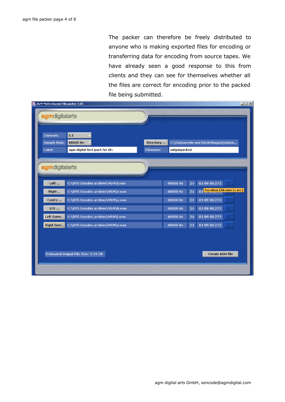The packer can therefore be freely distributed to anyone who is making exported files for encoding or transferring data for encoding from source tapes. We have already seen a good response to this from clients and they can see for themselves whether all the files are correct for encoding prior to the packed file being submitted.

| <b>Channels:</b><br><b>Sample Rate:</b> | 5.1<br>48000 Hz                  | Directory        |                | C:\Dokumente und Einstellungen\Admin |  |
|-----------------------------------------|----------------------------------|------------------|----------------|--------------------------------------|--|
| Label:                                  | agm digital test pack for dts    | <b>Filename:</b> | outputpacked   |                                      |  |
| agmdigitalarts                          |                                  |                  |                |                                      |  |
|                                         |                                  |                  |                |                                      |  |
| Left                                    | C:\DTS Encodes archive\MSM\l.wav |                  | 48000 Hz<br>24 | 01 09 00.273                         |  |
| Right                                   | C:\DTS Encodes archive\MSM\r.wav |                  | 48000 Hz<br>24 | 01 Duration (hh:mm:ss.ms)            |  |
| Centre                                  | C:\DTS Encodes archive\MSM\c.wav |                  | 48000 Hz<br>24 | 01 09 00.273                         |  |
| LFE                                     | C:\DTS Encodes archive\MSM\b.wav |                  | 48000 Hz<br>24 | 01 09 00.273                         |  |
| Left Surro                              | C:\DTS Encodes archive\MSM\Lwav  |                  | 48000 Hz<br>24 | 01 09 00.273                         |  |
| <b>Right Surr</b>                       | C:\DTS Encodes archive\MSM\r.wav |                  | 48000 Hz<br>24 | 01 09 00.273                         |  |
|                                         |                                  |                  |                |                                      |  |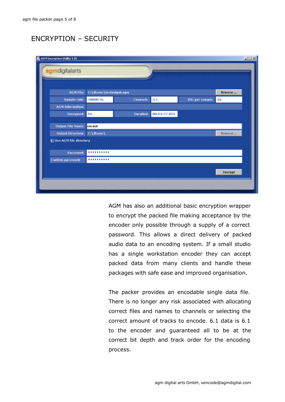## ENCRYPTION – SECURITY

| AGM Encryption Utility 1.01     |                                    |           |              |                         |                | $\Box$ |
|---------------------------------|------------------------------------|-----------|--------------|-------------------------|----------------|--------|
| agmdigitalarts                  |                                    |           |              |                         |                |        |
|                                 |                                    |           |              |                         |                |        |
|                                 | AGM File: C:\dtsenc\testoutput.agm |           |              |                         | Browse         |        |
| Sample rate:                    | 48000 Hz                           | Channels: | 5.1          | <b>Bits per sample:</b> | 16             |        |
| <b>AGM Information:</b>         |                                    |           |              |                         |                |        |
| Encrypted:                      | No                                 | Duration: | 00:04:27.803 |                         |                |        |
|                                 |                                    |           |              |                         |                |        |
| Output File Name:               | encout                             |           |              |                         |                |        |
| Output Directory: C:\dtsenc\    |                                    |           |              |                         | Browse         |        |
| <b>E Use AGM file directory</b> |                                    |           |              |                         |                |        |
| Password:                       |                                    |           |              |                         |                |        |
| Confirm password:               |                                    |           |              |                         |                |        |
|                                 |                                    |           |              |                         |                |        |
|                                 |                                    |           |              |                         | <b>Encrypt</b> |        |
|                                 |                                    |           |              |                         |                |        |
|                                 |                                    |           |              |                         |                |        |

AGM has also an additional basic encryption wrapper to encrypt the packed file making acceptance by the encoder only possible through a supply of a correct password. This allows a direct delivery of packed audio data to an encoding system. If a small studio has a single workstation encoder they can accept packed data from many clients and handle these packages with safe ease and improved organisation.

The packer provides an encodable single data file. There is no longer any risk associated with allocating correct files and names to channels or selecting the correct amount of tracks to encode. 6.1 data is 6.1 to the encoder and guaranteed all to be at the correct bit depth and track order for the encoding process.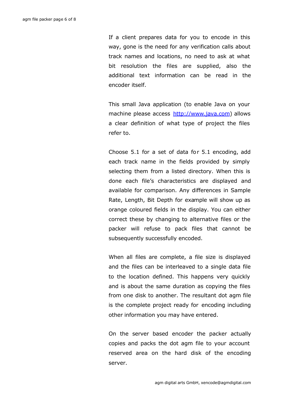If a client prepares data for you to encode in this way, gone is the need for any verification calls about track names and locations, no need to ask at what bit resolution the files are supplied, also the additional text information can be read in the encoder itself.

This small Java application (to enable Java on your machine please access http://www.java.com) allows a clear definition of what type of project the files refer to.

Choose 5.1 for a set of data for 5.1 encoding, add each track name in the fields provided by simply selecting them from a listed directory. When this is done each file's characteristics are displayed and available for comparison. Any differences in Sample Rate, Length, Bit Depth for example will show up as orange coloured fields in the display. You can either correct these by changing to alternative files or the packer will refuse to pack files that cannot be subsequently successfully encoded.

When all files are complete, a file size is displayed and the files can be interleaved to a single data file to the location defined. This happens very quickly and is about the same duration as copying the files from one disk to another. The resultant dot agm file is the complete project ready for encoding including other information you may have entered.

On the server based encoder the packer actually copies and packs the dot agm file to your account reserved area on the hard disk of the encoding server.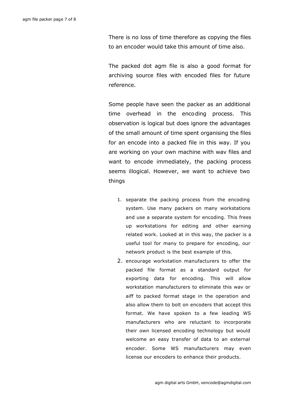There is no loss of time therefore as copying the files to an encoder would take this amount of time also.

The packed dot agm file is also a good format for archiving source files with encoded files for future reference.

Some people have seen the packer as an additional time overhead in the encoding process. This observation is logical but does ignore the advantages of the small amount of time spent organising the files for an encode into a packed file in this way. If you are working on your own machine with wav files and want to encode immediately, the packing process seems illogical. However, we want to achieve two things

- 1. separate the packing process from the encoding system. Use many packers on many workstations and use a separate system for encoding. This frees up workstations for editing and other earning related work. Looked at in this way, the packer is a useful tool for many to prepare for encoding, our network product is the best example of this.
- 2. encourage workstation manufacturers to offer the packed file format as a standard output for exporting data for encoding. This will allow workstation manufacturers to eliminate this wav or aiff to packed format stage in the operation and also allow them to bolt on encoders that accept this format. We have spoken to a few leading WS manufacturers who are reluctant to incorporate their own licensed encoding technology but would welcome an easy transfer of data to an external encoder. Some WS manufacturers may even license our encoders to enhance their products.